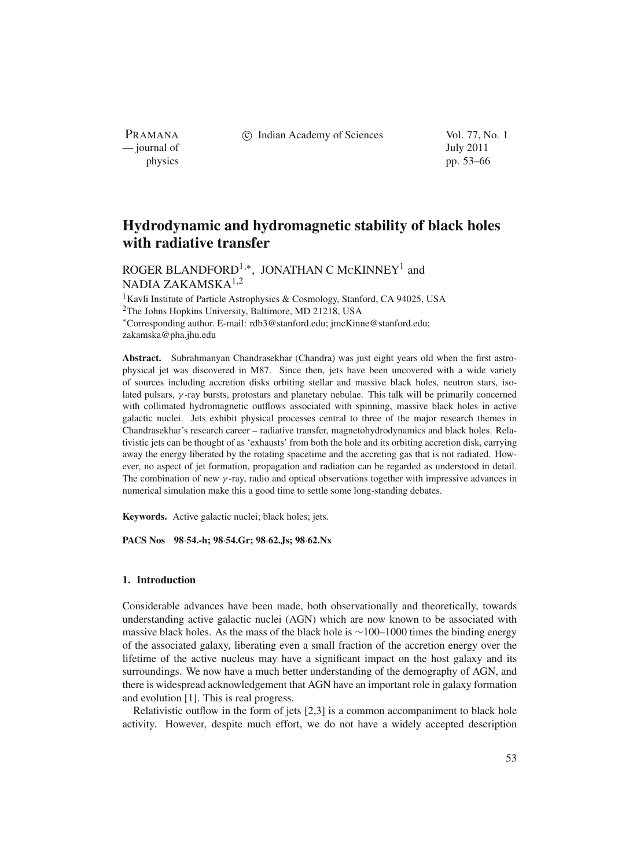c Indian Academy of Sciences Vol. 77, No. 1

PRAMANA — journal of July 2011

physics pp. 53–66

# **Hydrodynamic and hydromagnetic stability of black holes with radiative transfer**

ROGER BLANDFORD<sup>1,\*</sup>, JONATHAN C McKINNEY<sup>1</sup> and NADIA ZAKAMSKA1,2

<sup>1</sup>Kavli Institute of Particle Astrophysics & Cosmology, Stanford, CA 94025, USA 2The Johns Hopkins University, Baltimore, MD 21218, USA <sup>∗</sup>Corresponding author. E-mail: rdb3@stanford.edu; jmcKinne@stanford.edu; zakamska@pha.jhu.edu

**Abstract.** Subrahmanyan Chandrasekhar (Chandra) was just eight years old when the first astrophysical jet was discovered in M87. Since then, jets have been uncovered with a wide variety of sources including accretion disks orbiting stellar and massive black holes, neutron stars, isolated pulsars, γ -ray bursts, protostars and planetary nebulae. This talk will be primarily concerned with collimated hydromagnetic outflows associated with spinning, massive black holes in active galactic nuclei. Jets exhibit physical processes central to three of the major research themes in Chandrasekhar's research career – radiative transfer, magnetohydrodynamics and black holes. Relativistic jets can be thought of as 'exhausts' from both the hole and its orbiting accretion disk, carrying away the energy liberated by the rotating spacetime and the accreting gas that is not radiated. However, no aspect of jet formation, propagation and radiation can be regarded as understood in detail. The combination of new  $\gamma$ -ray, radio and optical observations together with impressive advances in numerical simulation make this a good time to settle some long-standing debates.

**Keywords.** Active galactic nuclei; black holes; jets.

**PACS Nos 98**·**54.-h; 98**·**54.Gr; 98**·**62.Js; 98**·**62.Nx**

## **1. Introduction**

Considerable advances have been made, both observationally and theoretically, towards understanding active galactic nuclei (AGN) which are now known to be associated with massive black holes. As the mass of the black hole is  $\sim$ 100–1000 times the binding energy of the associated galaxy, liberating even a small fraction of the accretion energy over the lifetime of the active nucleus may have a significant impact on the host galaxy and its surroundings. We now have a much better understanding of the demography of AGN, and there is widespread acknowledgement that AGN have an important role in galaxy formation and evolution [1]. This is real progress.

Relativistic outflow in the form of jets  $[2,3]$  is a common accompaniment to black hole activity. However, despite much effort, we do not have a widely accepted description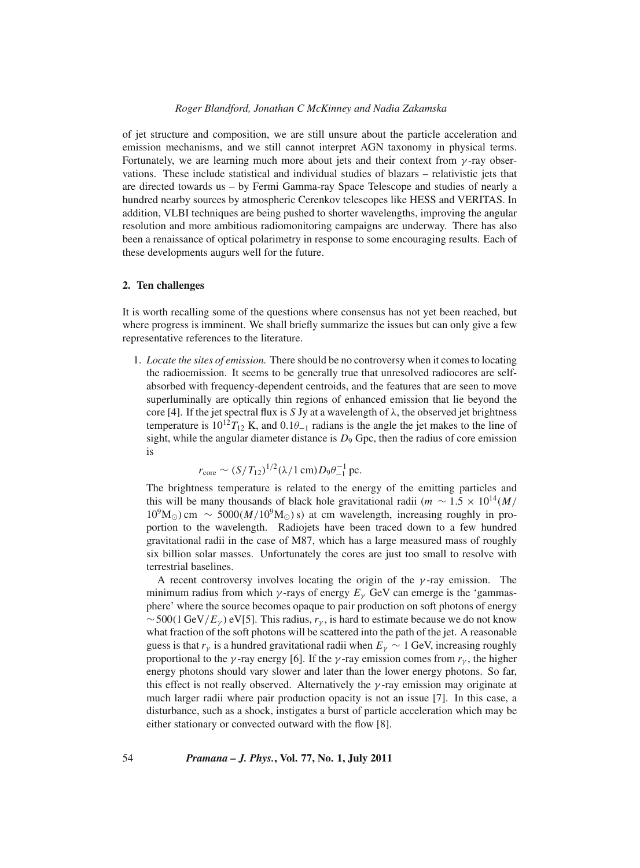of jet structure and composition, we are still unsure about the particle acceleration and emission mechanisms, and we still cannot interpret AGN taxonomy in physical terms. Fortunately, we are learning much more about jets and their context from  $\gamma$ -ray observations. These include statistical and individual studies of blazars – relativistic jets that are directed towards us – by Fermi Gamma-ray Space Telescope and studies of nearly a hundred nearby sources by atmospheric Cerenkov telescopes like HESS and VERITAS. In addition, VLBI techniques are being pushed to shorter wavelengths, improving the angular resolution and more ambitious radiomonitoring campaigns are underway. There has also been a renaissance of optical polarimetry in response to some encouraging results. Each of these developments augurs well for the future.

#### **2. Ten challenges**

It is worth recalling some of the questions where consensus has not yet been reached, but where progress is imminent. We shall briefly summarize the issues but can only give a few representative references to the literature.

1. *Locate the sites of emission.* There should be no controversy when it comes to locating the radioemission. It seems to be generally true that unresolved radiocores are selfabsorbed with frequency-dependent centroids, and the features that are seen to move superluminally are optically thin regions of enhanced emission that lie beyond the core [4]. If the jet spectral flux is *S* Jy at a wavelength of  $\lambda$ , the observed jet brightness temperature is  $10^{12}T_{12}$  K, and  $0.1\theta_{-1}$  radians is the angle the jet makes to the line of sight, while the angular diameter distance is  $D_9$  Gpc, then the radius of core emission is

$$
r_{\rm core} \sim (S/T_{12})^{1/2} (\lambda/1 \text{ cm}) D_9 \theta_{-1}^{-1} \text{ pc}.
$$

The brightness temperature is related to the energy of the emitting particles and this will be many thousands of black hole gravitational radii ( $m \sim 1.5 \times 10^{14} (M/m)$  $10^9M_{\odot}$ ) cm ~ 5000( $M/10^9M_{\odot}$ ) s) at cm wavelength, increasing roughly in proportion to the wavelength. Radiojets have been traced down to a few hundred gravitational radii in the case of M87, which has a large measured mass of roughly six billion solar masses. Unfortunately the cores are just too small to resolve with terrestrial baselines.

A recent controversy involves locating the origin of the  $\gamma$ -ray emission. The minimum radius from which  $\gamma$ -rays of energy  $E_\gamma$  GeV can emerge is the 'gammasphere' where the source becomes opaque to pair production on soft photons of energy  $\sim$  500(1 GeV/ $E_\gamma$ ) eV[5]. This radius,  $r_\gamma$ , is hard to estimate because we do not know what fraction of the soft photons will be scattered into the path of the jet. A reasonable guess is that  $r<sub>γ</sub>$  is a hundred gravitational radii when  $E<sub>γ</sub> \sim 1$  GeV, increasing roughly proportional to the  $\gamma$ -ray energy [6]. If the  $\gamma$ -ray emission comes from  $r_{\gamma}$ , the higher energy photons should vary slower and later than the lower energy photons. So far, this effect is not really observed. Alternatively the  $\gamma$ -ray emission may originate at much larger radii where pair production opacity is not an issue [7]. In this case, a disturbance, such as a shock, instigates a burst of particle acceleration which may be either stationary or convected outward with the flow [8].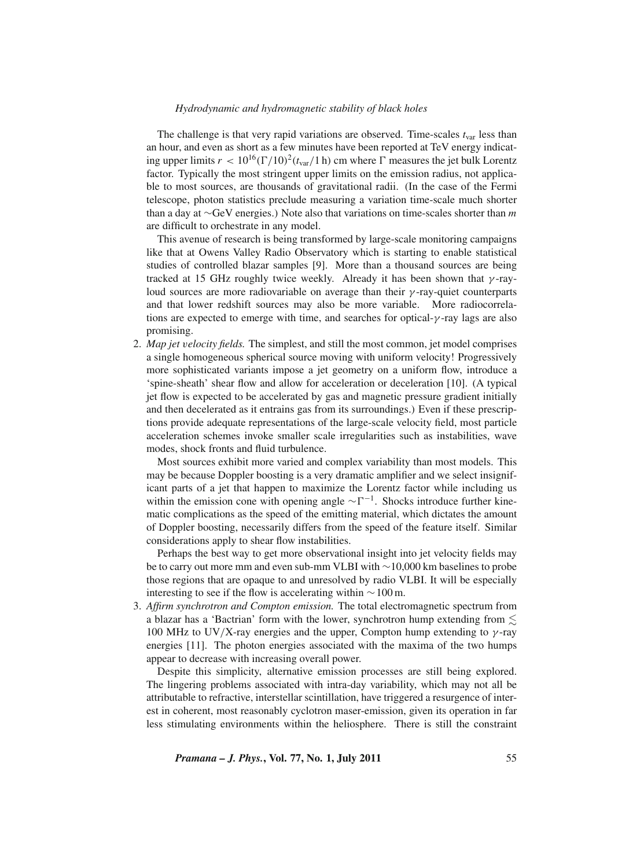The challenge is that very rapid variations are observed. Time-scales  $t_{\text{var}}$  less than an hour, and even as short as a few minutes have been reported at TeV energy indicating upper limits  $r < 10^{16} (\Gamma/10)^2 (t_{\text{var}}/1 \text{ h})$  cm where  $\Gamma$  measures the jet bulk Lorentz factor. Typically the most stringent upper limits on the emission radius, not applicable to most sources, are thousands of gravitational radii. (In the case of the Fermi telescope, photon statistics preclude measuring a variation time-scale much shorter than a day at ∼GeV energies.) Note also that variations on time-scales shorter than *m* are difficult to orchestrate in any model.

This avenue of research is being transformed by large-scale monitoring campaigns like that at Owens Valley Radio Observatory which is starting to enable statistical studies of controlled blazar samples [9]. More than a thousand sources are being tracked at 15 GHz roughly twice weekly. Already it has been shown that  $\gamma$ -rayloud sources are more radiovariable on average than their  $\gamma$ -ray-quiet counterparts and that lower redshift sources may also be more variable. More radiocorrelations are expected to emerge with time, and searches for optical-γ -ray lags are also promising.

2. *Map jet* v*elocity fields.* The simplest, and still the most common, jet model comprises a single homogeneous spherical source moving with uniform velocity! Progressively more sophisticated variants impose a jet geometry on a uniform flow, introduce a 'spine-sheath' shear flow and allow for acceleration or deceleration [10]. (A typical jet flow is expected to be accelerated by gas and magnetic pressure gradient initially and then decelerated as it entrains gas from its surroundings.) Even if these prescriptions provide adequate representations of the large-scale velocity field, most particle acceleration schemes invoke smaller scale irregularities such as instabilities, wave modes, shock fronts and fluid turbulence.

Most sources exhibit more varied and complex variability than most models. This may be because Doppler boosting is a very dramatic amplifier and we select insignificant parts of a jet that happen to maximize the Lorentz factor while including us within the emission cone with opening angle  $\sim \Gamma^{-1}$ . Shocks introduce further kinematic complications as the speed of the emitting material, which dictates the amount of Doppler boosting, necessarily differs from the speed of the feature itself. Similar considerations apply to shear flow instabilities.

Perhaps the best way to get more observational insight into jet velocity fields may be to carry out more mm and even sub-mm VLBI with ∼10,000 km baselines to probe those regions that are opaque to and unresolved by radio VLBI. It will be especially interesting to see if the flow is accelerating within  $\sim$  100 m.

3. *Affirm synchrotron and Compton emission.* The total electromagnetic spectrum from a blazar has a 'Bactrian' form with the lower, synchrotron hump extending from  $\lesssim$ 100 MHz to UV/X-ray energies and the upper, Compton hump extending to  $\gamma$ -ray energies [11]. The photon energies associated with the maxima of the two humps appear to decrease with increasing overall power.

Despite this simplicity, alternative emission processes are still being explored. The lingering problems associated with intra-day variability, which may not all be attributable to refractive, interstellar scintillation, have triggered a resurgence of interest in coherent, most reasonably cyclotron maser-emission, given its operation in far less stimulating environments within the heliosphere. There is still the constraint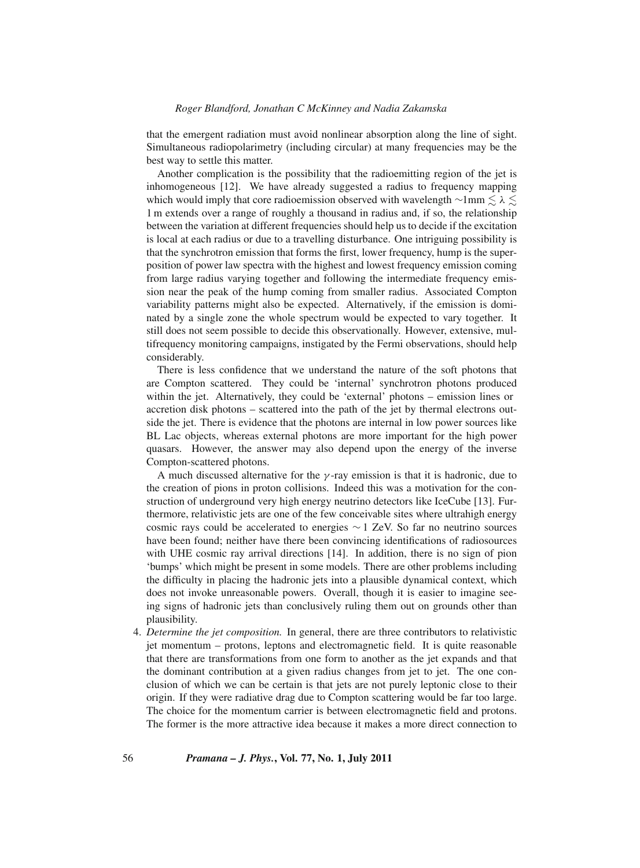that the emergent radiation must avoid nonlinear absorption along the line of sight. Simultaneous radiopolarimetry (including circular) at many frequencies may be the best way to settle this matter.

Another complication is the possibility that the radioemitting region of the jet is inhomogeneous [12]. We have already suggested a radius to frequency mapping which would imply that core radioemission observed with wavelength  $\sim$ 1mm  $\lesssim \lambda \lesssim$ 1 m extends over a range of roughly a thousand in radius and, if so, the relationship between the variation at different frequencies should help us to decide if the excitation is local at each radius or due to a travelling disturbance. One intriguing possibility is that the synchrotron emission that forms the first, lower frequency, hump is the superposition of power law spectra with the highest and lowest frequency emission coming from large radius varying together and following the intermediate frequency emission near the peak of the hump coming from smaller radius. Associated Compton variability patterns might also be expected. Alternatively, if the emission is dominated by a single zone the whole spectrum would be expected to vary together. It still does not seem possible to decide this observationally. However, extensive, multifrequency monitoring campaigns, instigated by the Fermi observations, should help considerably.

There is less confidence that we understand the nature of the soft photons that are Compton scattered. They could be 'internal' synchrotron photons produced within the jet. Alternatively, they could be 'external' photons – emission lines or accretion disk photons – scattered into the path of the jet by thermal electrons outside the jet. There is evidence that the photons are internal in low power sources like BL Lac objects, whereas external photons are more important for the high power quasars. However, the answer may also depend upon the energy of the inverse Compton-scattered photons.

A much discussed alternative for the  $\gamma$ -ray emission is that it is hadronic, due to the creation of pions in proton collisions. Indeed this was a motivation for the construction of underground very high energy neutrino detectors like IceCube [13]. Furthermore, relativistic jets are one of the few conceivable sites where ultrahigh energy cosmic rays could be accelerated to energies ∼ 1 ZeV. So far no neutrino sources have been found; neither have there been convincing identifications of radiosources with UHE cosmic ray arrival directions [14]. In addition, there is no sign of pion 'bumps' which might be present in some models. There are other problems including the difficulty in placing the hadronic jets into a plausible dynamical context, which does not invoke unreasonable powers. Overall, though it is easier to imagine seeing signs of hadronic jets than conclusively ruling them out on grounds other than plausibility.

4. *Determine the jet composition.* In general, there are three contributors to relativistic jet momentum – protons, leptons and electromagnetic field. It is quite reasonable that there are transformations from one form to another as the jet expands and that the dominant contribution at a given radius changes from jet to jet. The one conclusion of which we can be certain is that jets are not purely leptonic close to their origin. If they were radiative drag due to Compton scattering would be far too large. The choice for the momentum carrier is between electromagnetic field and protons. The former is the more attractive idea because it makes a more direct connection to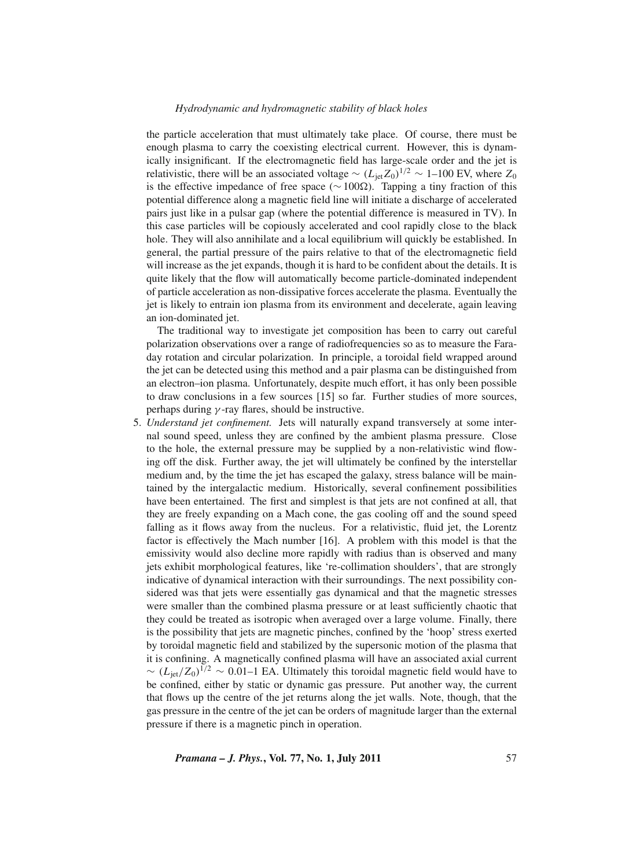the particle acceleration that must ultimately take place. Of course, there must be enough plasma to carry the coexisting electrical current. However, this is dynamically insignificant. If the electromagnetic field has large-scale order and the jet is relativistic, there will be an associated voltage  $∼ (L<sub>jet</sub>Z<sub>0</sub>)<sup>1/2</sup> ∼ 1–100$  EV, where  $Z<sub>0</sub>$ is the effective impedance of free space ( $\sim 100\Omega$ ). Tapping a tiny fraction of this potential difference along a magnetic field line will initiate a discharge of accelerated pairs just like in a pulsar gap (where the potential difference is measured in TV). In this case particles will be copiously accelerated and cool rapidly close to the black hole. They will also annihilate and a local equilibrium will quickly be established. In general, the partial pressure of the pairs relative to that of the electromagnetic field will increase as the jet expands, though it is hard to be confident about the details. It is quite likely that the flow will automatically become particle-dominated independent of particle acceleration as non-dissipative forces accelerate the plasma. Eventually the jet is likely to entrain ion plasma from its environment and decelerate, again leaving an ion-dominated jet.

The traditional way to investigate jet composition has been to carry out careful polarization observations over a range of radiofrequencies so as to measure the Faraday rotation and circular polarization. In principle, a toroidal field wrapped around the jet can be detected using this method and a pair plasma can be distinguished from an electron–ion plasma. Unfortunately, despite much effort, it has only been possible to draw conclusions in a few sources [15] so far. Further studies of more sources, perhaps during  $\gamma$ -ray flares, should be instructive.

5. *Understand jet confinement.* Jets will naturally expand transversely at some internal sound speed, unless they are confined by the ambient plasma pressure. Close to the hole, the external pressure may be supplied by a non-relativistic wind flowing off the disk. Further away, the jet will ultimately be confined by the interstellar medium and, by the time the jet has escaped the galaxy, stress balance will be maintained by the intergalactic medium. Historically, several confinement possibilities have been entertained. The first and simplest is that jets are not confined at all, that they are freely expanding on a Mach cone, the gas cooling off and the sound speed falling as it flows away from the nucleus. For a relativistic, fluid jet, the Lorentz factor is effectively the Mach number [16]. A problem with this model is that the emissivity would also decline more rapidly with radius than is observed and many jets exhibit morphological features, like 're-collimation shoulders', that are strongly indicative of dynamical interaction with their surroundings. The next possibility considered was that jets were essentially gas dynamical and that the magnetic stresses were smaller than the combined plasma pressure or at least sufficiently chaotic that they could be treated as isotropic when averaged over a large volume. Finally, there is the possibility that jets are magnetic pinches, confined by the 'hoop' stress exerted by toroidal magnetic field and stabilized by the supersonic motion of the plasma that it is confining. A magnetically confined plasma will have an associated axial current  $\sim (L_{\text{iet}}/Z_0)^{1/2} \sim 0.01-1$  EA. Ultimately this toroidal magnetic field would have to be confined, either by static or dynamic gas pressure. Put another way, the current that flows up the centre of the jet returns along the jet walls. Note, though, that the gas pressure in the centre of the jet can be orders of magnitude larger than the external pressure if there is a magnetic pinch in operation.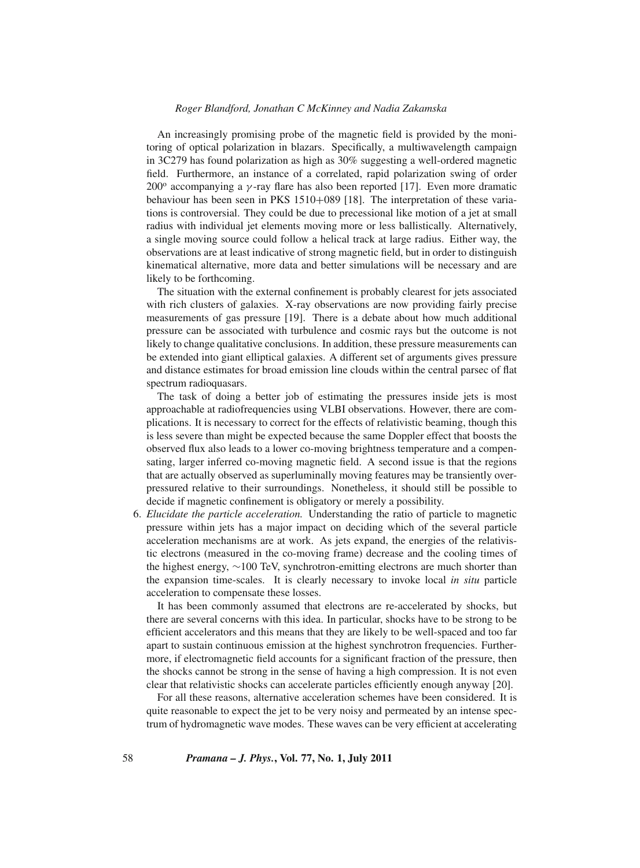An increasingly promising probe of the magnetic field is provided by the monitoring of optical polarization in blazars. Specifically, a multiwavelength campaign in 3C279 has found polarization as high as 30% suggesting a well-ordered magnetic field. Furthermore, an instance of a correlated, rapid polarization swing of order 200° accompanying a  $\gamma$ -ray flare has also been reported [17]. Even more dramatic behaviour has been seen in PKS 1510+089 [18]. The interpretation of these variations is controversial. They could be due to precessional like motion of a jet at small radius with individual jet elements moving more or less ballistically. Alternatively, a single moving source could follow a helical track at large radius. Either way, the observations are at least indicative of strong magnetic field, but in order to distinguish kinematical alternative, more data and better simulations will be necessary and are likely to be forthcoming.

The situation with the external confinement is probably clearest for jets associated with rich clusters of galaxies. X-ray observations are now providing fairly precise measurements of gas pressure [19]. There is a debate about how much additional pressure can be associated with turbulence and cosmic rays but the outcome is not likely to change qualitative conclusions. In addition, these pressure measurements can be extended into giant elliptical galaxies. A different set of arguments gives pressure and distance estimates for broad emission line clouds within the central parsec of flat spectrum radioquasars.

The task of doing a better job of estimating the pressures inside jets is most approachable at radiofrequencies using VLBI observations. However, there are complications. It is necessary to correct for the effects of relativistic beaming, though this is less severe than might be expected because the same Doppler effect that boosts the observed flux also leads to a lower co-moving brightness temperature and a compensating, larger inferred co-moving magnetic field. A second issue is that the regions that are actually observed as superluminally moving features may be transiently overpressured relative to their surroundings. Nonetheless, it should still be possible to decide if magnetic confinement is obligatory or merely a possibility.

6. *Elucidate the particle acceleration.* Understanding the ratio of particle to magnetic pressure within jets has a major impact on deciding which of the several particle acceleration mechanisms are at work. As jets expand, the energies of the relativistic electrons (measured in the co-moving frame) decrease and the cooling times of the highest energy, ∼100 TeV, synchrotron-emitting electrons are much shorter than the expansion time-scales. It is clearly necessary to invoke local *in situ* particle acceleration to compensate these losses.

It has been commonly assumed that electrons are re-accelerated by shocks, but there are several concerns with this idea. In particular, shocks have to be strong to be efficient accelerators and this means that they are likely to be well-spaced and too far apart to sustain continuous emission at the highest synchrotron frequencies. Furthermore, if electromagnetic field accounts for a significant fraction of the pressure, then the shocks cannot be strong in the sense of having a high compression. It is not even clear that relativistic shocks can accelerate particles efficiently enough anyway [20].

For all these reasons, alternative acceleration schemes have been considered. It is quite reasonable to expect the jet to be very noisy and permeated by an intense spectrum of hydromagnetic wave modes. These waves can be very efficient at accelerating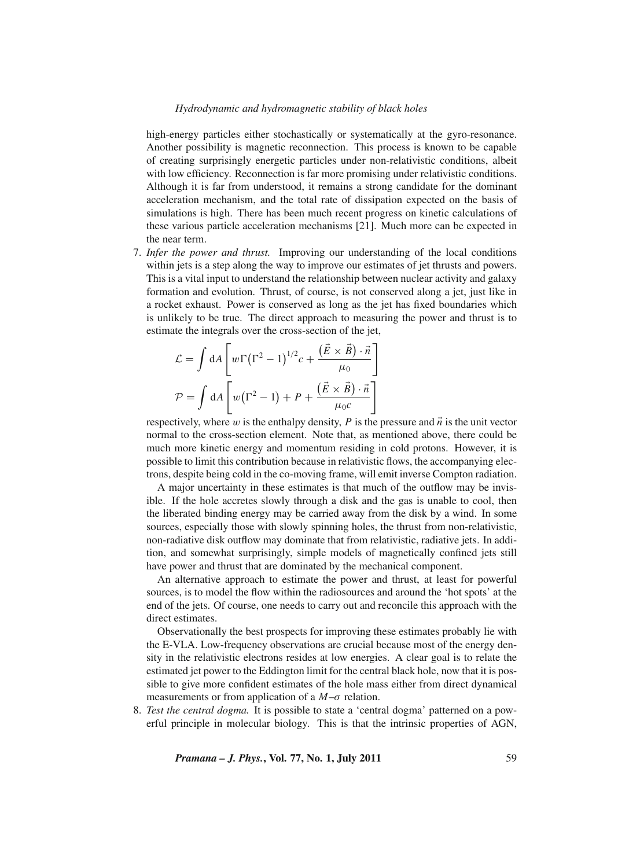high-energy particles either stochastically or systematically at the gyro-resonance. Another possibility is magnetic reconnection. This process is known to be capable of creating surprisingly energetic particles under non-relativistic conditions, albeit with low efficiency. Reconnection is far more promising under relativistic conditions. Although it is far from understood, it remains a strong candidate for the dominant acceleration mechanism, and the total rate of dissipation expected on the basis of simulations is high. There has been much recent progress on kinetic calculations of these various particle acceleration mechanisms [21]. Much more can be expected in the near term.

7. *Infer the power and thrust.* Improving our understanding of the local conditions within jets is a step along the way to improve our estimates of jet thrusts and powers. This is a vital input to understand the relationship between nuclear activity and galaxy formation and evolution. Thrust, of course, is not conserved along a jet, just like in a rocket exhaust. Power is conserved as long as the jet has fixed boundaries which is unlikely to be true. The direct approach to measuring the power and thrust is to estimate the integrals over the cross-section of the jet,

$$
\mathcal{L} = \int dA \left[ w \Gamma (\Gamma^2 - 1)^{1/2} c + \frac{(\vec{E} \times \vec{B}) \cdot \vec{n}}{\mu_0} \right]
$$

$$
\mathcal{P} = \int dA \left[ w (\Gamma^2 - 1) + P + \frac{(\vec{E} \times \vec{B}) \cdot \vec{n}}{\mu_0 c} \right]
$$

respectively, where w is the enthalpy density,  $P$  is the pressure and  $\vec{n}$  is the unit vector normal to the cross-section element. Note that, as mentioned above, there could be much more kinetic energy and momentum residing in cold protons. However, it is possible to limit this contribution because in relativistic flows, the accompanying electrons, despite being cold in the co-moving frame, will emit inverse Compton radiation.

A major uncertainty in these estimates is that much of the outflow may be invisible. If the hole accretes slowly through a disk and the gas is unable to cool, then the liberated binding energy may be carried away from the disk by a wind. In some sources, especially those with slowly spinning holes, the thrust from non-relativistic, non-radiative disk outflow may dominate that from relativistic, radiative jets. In addition, and somewhat surprisingly, simple models of magnetically confined jets still have power and thrust that are dominated by the mechanical component.

An alternative approach to estimate the power and thrust, at least for powerful sources, is to model the flow within the radiosources and around the 'hot spots' at the end of the jets. Of course, one needs to carry out and reconcile this approach with the direct estimates.

Observationally the best prospects for improving these estimates probably lie with the E-VLA. Low-frequency observations are crucial because most of the energy density in the relativistic electrons resides at low energies. A clear goal is to relate the estimated jet power to the Eddington limit for the central black hole, now that it is possible to give more confident estimates of the hole mass either from direct dynamical measurements or from application of a *M*–σ relation.

8. *Test the central dogma.* It is possible to state a 'central dogma' patterned on a powerful principle in molecular biology. This is that the intrinsic properties of AGN,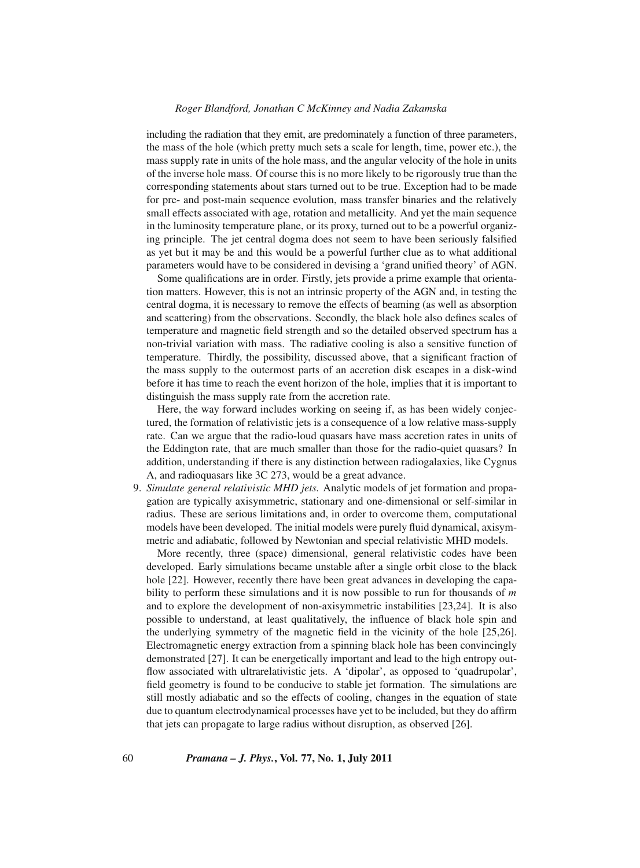including the radiation that they emit, are predominately a function of three parameters, the mass of the hole (which pretty much sets a scale for length, time, power etc.), the mass supply rate in units of the hole mass, and the angular velocity of the hole in units of the inverse hole mass. Of course this is no more likely to be rigorously true than the corresponding statements about stars turned out to be true. Exception had to be made for pre- and post-main sequence evolution, mass transfer binaries and the relatively small effects associated with age, rotation and metallicity. And yet the main sequence in the luminosity temperature plane, or its proxy, turned out to be a powerful organizing principle. The jet central dogma does not seem to have been seriously falsified as yet but it may be and this would be a powerful further clue as to what additional parameters would have to be considered in devising a 'grand unified theory' of AGN.

Some qualifications are in order. Firstly, jets provide a prime example that orientation matters. However, this is not an intrinsic property of the AGN and, in testing the central dogma, it is necessary to remove the effects of beaming (as well as absorption and scattering) from the observations. Secondly, the black hole also defines scales of temperature and magnetic field strength and so the detailed observed spectrum has a non-trivial variation with mass. The radiative cooling is also a sensitive function of temperature. Thirdly, the possibility, discussed above, that a significant fraction of the mass supply to the outermost parts of an accretion disk escapes in a disk-wind before it has time to reach the event horizon of the hole, implies that it is important to distinguish the mass supply rate from the accretion rate.

Here, the way forward includes working on seeing if, as has been widely conjectured, the formation of relativistic jets is a consequence of a low relative mass-supply rate. Can we argue that the radio-loud quasars have mass accretion rates in units of the Eddington rate, that are much smaller than those for the radio-quiet quasars? In addition, understanding if there is any distinction between radiogalaxies, like Cygnus A, and radioquasars like 3C 273, would be a great advance.

9. *Simulate general relati*v*istic MHD jets.* Analytic models of jet formation and propagation are typically axisymmetric, stationary and one-dimensional or self-similar in radius. These are serious limitations and, in order to overcome them, computational models have been developed. The initial models were purely fluid dynamical, axisymmetric and adiabatic, followed by Newtonian and special relativistic MHD models.

More recently, three (space) dimensional, general relativistic codes have been developed. Early simulations became unstable after a single orbit close to the black hole [22]. However, recently there have been great advances in developing the capability to perform these simulations and it is now possible to run for thousands of *m* and to explore the development of non-axisymmetric instabilities [23,24]. It is also possible to understand, at least qualitatively, the influence of black hole spin and the underlying symmetry of the magnetic field in the vicinity of the hole [25,26]. Electromagnetic energy extraction from a spinning black hole has been convincingly demonstrated [27]. It can be energetically important and lead to the high entropy outflow associated with ultrarelativistic jets. A 'dipolar', as opposed to 'quadrupolar', field geometry is found to be conducive to stable jet formation. The simulations are still mostly adiabatic and so the effects of cooling, changes in the equation of state due to quantum electrodynamical processes have yet to be included, but they do affirm that jets can propagate to large radius without disruption, as observed [26].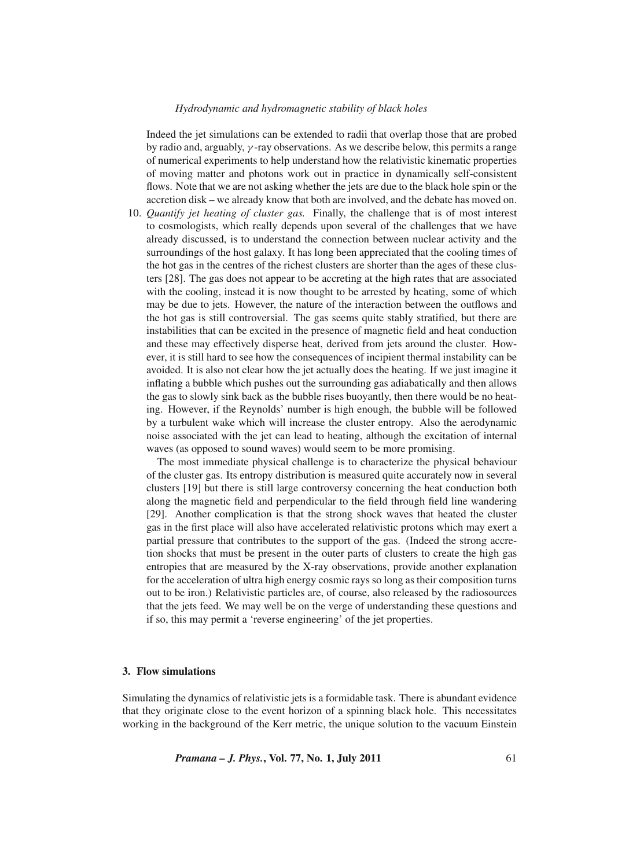Indeed the jet simulations can be extended to radii that overlap those that are probed by radio and, arguably,  $\gamma$ -ray observations. As we describe below, this permits a range of numerical experiments to help understand how the relativistic kinematic properties of moving matter and photons work out in practice in dynamically self-consistent flows. Note that we are not asking whether the jets are due to the black hole spin or the accretion disk – we already know that both are involved, and the debate has moved on.

10. *Quantify jet heating of cluster gas.* Finally, the challenge that is of most interest to cosmologists, which really depends upon several of the challenges that we have already discussed, is to understand the connection between nuclear activity and the surroundings of the host galaxy. It has long been appreciated that the cooling times of the hot gas in the centres of the richest clusters are shorter than the ages of these clusters [28]. The gas does not appear to be accreting at the high rates that are associated with the cooling, instead it is now thought to be arrested by heating, some of which may be due to jets. However, the nature of the interaction between the outflows and the hot gas is still controversial. The gas seems quite stably stratified, but there are instabilities that can be excited in the presence of magnetic field and heat conduction and these may effectively disperse heat, derived from jets around the cluster. However, it is still hard to see how the consequences of incipient thermal instability can be avoided. It is also not clear how the jet actually does the heating. If we just imagine it inflating a bubble which pushes out the surrounding gas adiabatically and then allows the gas to slowly sink back as the bubble rises buoyantly, then there would be no heating. However, if the Reynolds' number is high enough, the bubble will be followed by a turbulent wake which will increase the cluster entropy. Also the aerodynamic noise associated with the jet can lead to heating, although the excitation of internal waves (as opposed to sound waves) would seem to be more promising.

The most immediate physical challenge is to characterize the physical behaviour of the cluster gas. Its entropy distribution is measured quite accurately now in several clusters [19] but there is still large controversy concerning the heat conduction both along the magnetic field and perpendicular to the field through field line wandering [29]. Another complication is that the strong shock waves that heated the cluster gas in the first place will also have accelerated relativistic protons which may exert a partial pressure that contributes to the support of the gas. (Indeed the strong accretion shocks that must be present in the outer parts of clusters to create the high gas entropies that are measured by the X-ray observations, provide another explanation for the acceleration of ultra high energy cosmic rays so long as their composition turns out to be iron.) Relativistic particles are, of course, also released by the radiosources that the jets feed. We may well be on the verge of understanding these questions and if so, this may permit a 'reverse engineering' of the jet properties.

## **3. Flow simulations**

Simulating the dynamics of relativistic jets is a formidable task. There is abundant evidence that they originate close to the event horizon of a spinning black hole. This necessitates working in the background of the Kerr metric, the unique solution to the vacuum Einstein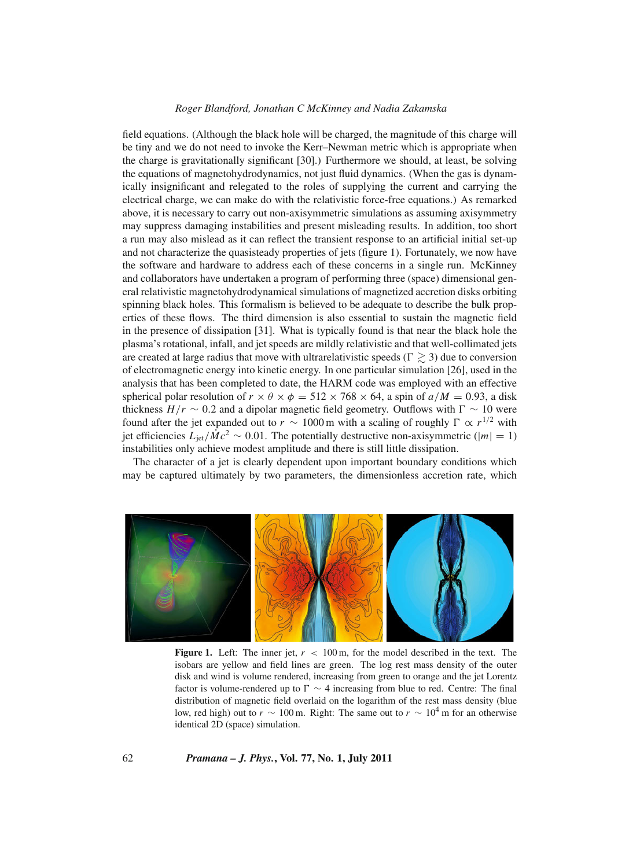field equations. (Although the black hole will be charged, the magnitude of this charge will be tiny and we do not need to invoke the Kerr–Newman metric which is appropriate when the charge is gravitationally significant [30].) Furthermore we should, at least, be solving the equations of magnetohydrodynamics, not just fluid dynamics. (When the gas is dynamically insignificant and relegated to the roles of supplying the current and carrying the electrical charge, we can make do with the relativistic force-free equations.) As remarked above, it is necessary to carry out non-axisymmetric simulations as assuming axisymmetry may suppress damaging instabilities and present misleading results. In addition, too short a run may also mislead as it can reflect the transient response to an artificial initial set-up and not characterize the quasisteady properties of jets (figure 1). Fortunately, we now have the software and hardware to address each of these concerns in a single run. McKinney and collaborators have undertaken a program of performing three (space) dimensional general relativistic magnetohydrodynamical simulations of magnetized accretion disks orbiting spinning black holes. This formalism is believed to be adequate to describe the bulk properties of these flows. The third dimension is also essential to sustain the magnetic field in the presence of dissipation [31]. What is typically found is that near the black hole the plasma's rotational, infall, and jet speeds are mildly relativistic and that well-collimated jets are created at large radius that move with ultrarelativistic speeds ( $\Gamma \gtrsim 3$ ) due to conversion of electromagnetic energy into kinetic energy. In one particular simulation [26], used in the analysis that has been completed to date, the HARM code was employed with an effective spherical polar resolution of  $r \times \theta \times \phi = 512 \times 768 \times 64$ , a spin of  $a/M = 0.93$ , a disk thickness  $H/r \sim 0.2$  and a dipolar magnetic field geometry. Outflows with  $\Gamma \sim 10$  were found after the jet expanded out to *r* ∼ 1000 m with a scaling of roughly  $\Gamma \propto r^{1/2}$  with jet efficiencies  $L_{\text{jet}}/\dot{M}c^2 \sim 0.01$ . The potentially destructive non-axisymmetric ( $|m| = 1$ ) instabilities only achieve modest amplitude and there is still little dissipation.

The character of a jet is clearly dependent upon important boundary conditions which may be captured ultimately by two parameters, the dimensionless accretion rate, which



**Figure 1.** Left: The inner jet,  $r < 100$  m, for the model described in the text. The isobars are yellow and field lines are green. The log rest mass density of the outer disk and wind is volume rendered, increasing from green to orange and the jet Lorentz factor is volume-rendered up to  $\Gamma \sim 4$  increasing from blue to red. Centre: The final distribution of magnetic field overlaid on the logarithm of the rest mass density (blue low, red high) out to *r* ∼ 100 m. Right: The same out to *r* ∼ 10<sup>4</sup> m for an otherwise identical 2D (space) simulation.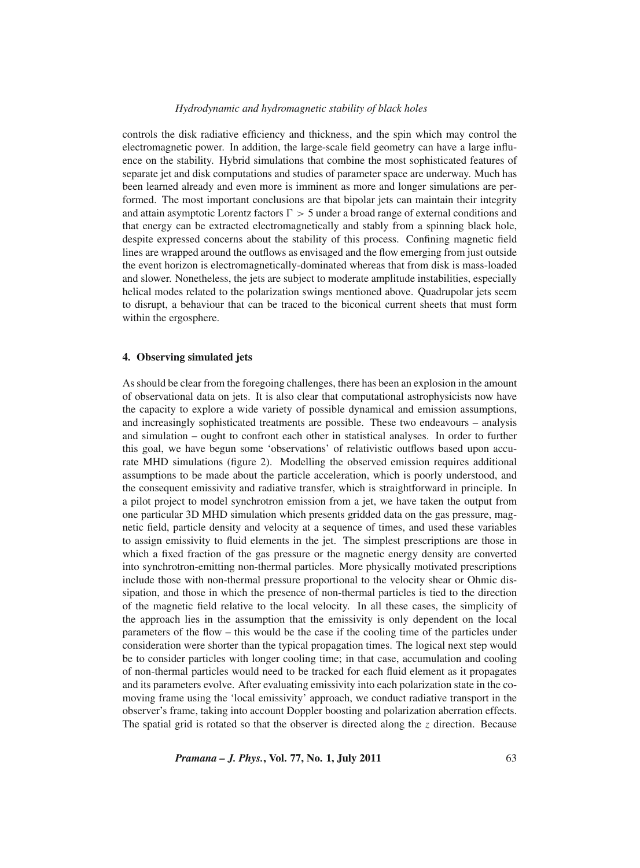controls the disk radiative efficiency and thickness, and the spin which may control the electromagnetic power. In addition, the large-scale field geometry can have a large influence on the stability. Hybrid simulations that combine the most sophisticated features of separate jet and disk computations and studies of parameter space are underway. Much has been learned already and even more is imminent as more and longer simulations are performed. The most important conclusions are that bipolar jets can maintain their integrity and attain asymptotic Lorentz factors  $\Gamma > 5$  under a broad range of external conditions and that energy can be extracted electromagnetically and stably from a spinning black hole, despite expressed concerns about the stability of this process. Confining magnetic field lines are wrapped around the outflows as envisaged and the flow emerging from just outside the event horizon is electromagnetically-dominated whereas that from disk is mass-loaded and slower. Nonetheless, the jets are subject to moderate amplitude instabilities, especially helical modes related to the polarization swings mentioned above. Quadrupolar jets seem to disrupt, a behaviour that can be traced to the biconical current sheets that must form within the ergosphere.

## **4. Observing simulated jets**

As should be clear from the foregoing challenges, there has been an explosion in the amount of observational data on jets. It is also clear that computational astrophysicists now have the capacity to explore a wide variety of possible dynamical and emission assumptions, and increasingly sophisticated treatments are possible. These two endeavours – analysis and simulation – ought to confront each other in statistical analyses. In order to further this goal, we have begun some 'observations' of relativistic outflows based upon accurate MHD simulations (figure 2). Modelling the observed emission requires additional assumptions to be made about the particle acceleration, which is poorly understood, and the consequent emissivity and radiative transfer, which is straightforward in principle. In a pilot project to model synchrotron emission from a jet, we have taken the output from one particular 3D MHD simulation which presents gridded data on the gas pressure, magnetic field, particle density and velocity at a sequence of times, and used these variables to assign emissivity to fluid elements in the jet. The simplest prescriptions are those in which a fixed fraction of the gas pressure or the magnetic energy density are converted into synchrotron-emitting non-thermal particles. More physically motivated prescriptions include those with non-thermal pressure proportional to the velocity shear or Ohmic dissipation, and those in which the presence of non-thermal particles is tied to the direction of the magnetic field relative to the local velocity. In all these cases, the simplicity of the approach lies in the assumption that the emissivity is only dependent on the local parameters of the flow – this would be the case if the cooling time of the particles under consideration were shorter than the typical propagation times. The logical next step would be to consider particles with longer cooling time; in that case, accumulation and cooling of non-thermal particles would need to be tracked for each fluid element as it propagates and its parameters evolve. After evaluating emissivity into each polarization state in the comoving frame using the 'local emissivity' approach, we conduct radiative transport in the observer's frame, taking into account Doppler boosting and polarization aberration effects. The spatial grid is rotated so that the observer is directed along the *z* direction. Because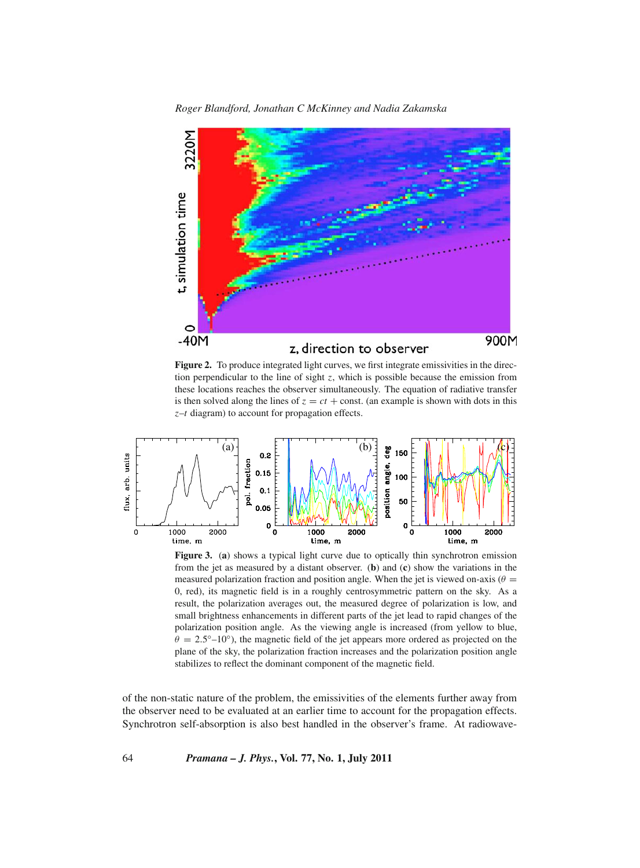*Roger Blandford, Jonathan C McKinney and Nadia Zakamska*



Figure 2. To produce integrated light curves, we first integrate emissivities in the direction perpendicular to the line of sight *z*, which is possible because the emission from these locations reaches the observer simultaneously. The equation of radiative transfer is then solved along the lines of  $z = ct + \text{const.}$  (an example is shown with dots in this *z*–*t* diagram) to account for propagation effects.



**Figure 3.** (**a**) shows a typical light curve due to optically thin synchrotron emission from the jet as measured by a distant observer. (**b**) and (**c**) show the variations in the measured polarization fraction and position angle. When the jet is viewed on-axis ( $\theta$  = 0, red), its magnetic field is in a roughly centrosymmetric pattern on the sky. As a result, the polarization averages out, the measured degree of polarization is low, and small brightness enhancements in different parts of the jet lead to rapid changes of the polarization position angle. As the viewing angle is increased (from yellow to blue,  $\theta = 2.5^{\circ} - 10^{\circ}$ ), the magnetic field of the jet appears more ordered as projected on the plane of the sky, the polarization fraction increases and the polarization position angle stabilizes to reflect the dominant component of the magnetic field.

of the non-static nature of the problem, the emissivities of the elements further away from the observer need to be evaluated at an earlier time to account for the propagation effects. Synchrotron self-absorption is also best handled in the observer's frame. At radiowave-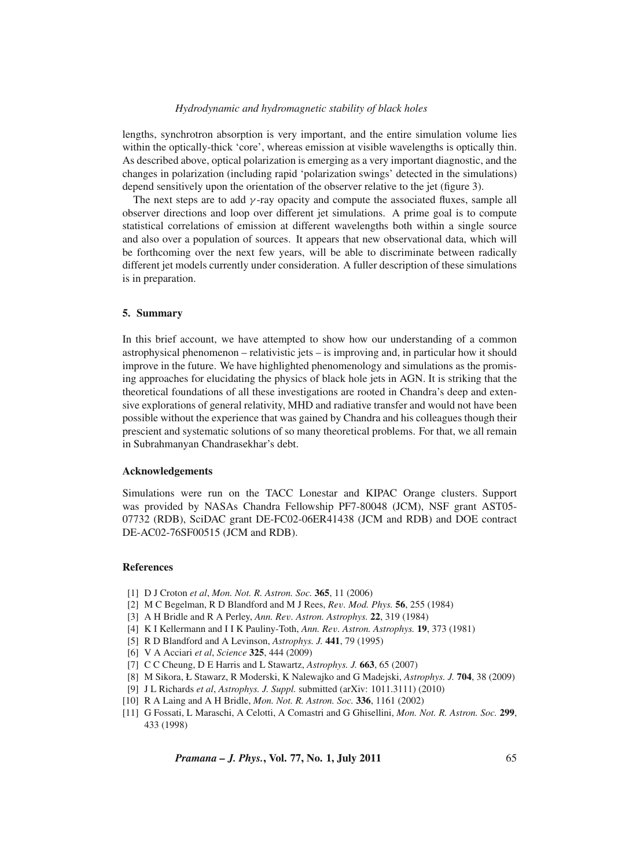lengths, synchrotron absorption is very important, and the entire simulation volume lies within the optically-thick 'core', whereas emission at visible wavelengths is optically thin. As described above, optical polarization is emerging as a very important diagnostic, and the changes in polarization (including rapid 'polarization swings' detected in the simulations) depend sensitively upon the orientation of the observer relative to the jet (figure 3).

The next steps are to add  $\gamma$ -ray opacity and compute the associated fluxes, sample all observer directions and loop over different jet simulations. A prime goal is to compute statistical correlations of emission at different wavelengths both within a single source and also over a population of sources. It appears that new observational data, which will be forthcoming over the next few years, will be able to discriminate between radically different jet models currently under consideration. A fuller description of these simulations is in preparation.

## **5. Summary**

In this brief account, we have attempted to show how our understanding of a common astrophysical phenomenon – relativistic jets – is improving and, in particular how it should improve in the future. We have highlighted phenomenology and simulations as the promising approaches for elucidating the physics of black hole jets in AGN. It is striking that the theoretical foundations of all these investigations are rooted in Chandra's deep and extensive explorations of general relativity, MHD and radiative transfer and would not have been possible without the experience that was gained by Chandra and his colleagues though their prescient and systematic solutions of so many theoretical problems. For that, we all remain in Subrahmanyan Chandrasekhar's debt.

### **Acknowledgements**

Simulations were run on the TACC Lonestar and KIPAC Orange clusters. Support was provided by NASAs Chandra Fellowship PF7-80048 (JCM), NSF grant AST05- 07732 (RDB), SciDAC grant DE-FC02-06ER41438 (JCM and RDB) and DOE contract DE-AC02-76SF00515 (JCM and RDB).

## **References**

- [1] D J Croton *et al*, *Mon. Not. R. Astron. Soc.* **365**, 11 (2006)
- [2] M C Begelman, R D Blandford and M J Rees, *Re*v*. Mod. Phys.* **56**, 255 (1984)
- [3] A H Bridle and R A Perley, *Ann. Re*v*. Astron. Astrophys.* **22**, 319 (1984)
- [4] K I Kellermann and I I K Pauliny-Toth, *Ann. Re*v*. Astron. Astrophys.* **19**, 373 (1981)
- [5] R D Blandford and A Levinson, *Astrophys. J.* **441**, 79 (1995)
- [6] V A Acciari *et al*, *Science* **325**, 444 (2009)
- [7] C C Cheung, D E Harris and L Stawartz, *Astrophys. J.* **663**, 65 (2007)
- [8] M Sikora, Ł Stawarz, R Moderski, K Nalewajko and G Madejski, *Astrophys. J.* **704**, 38 (2009)
- [9] J L Richards *et al*, *Astrophys. J. Suppl.* submitted (arXiv: 1011.3111) (2010)
- [10] R A Laing and A H Bridle, *Mon. Not. R. Astron. Soc.* **336**, 1161 (2002)
- [11] G Fossati, L Maraschi, A Celotti, A Comastri and G Ghisellini, *Mon. Not. R. Astron. Soc.* **299**, 433 (1998)